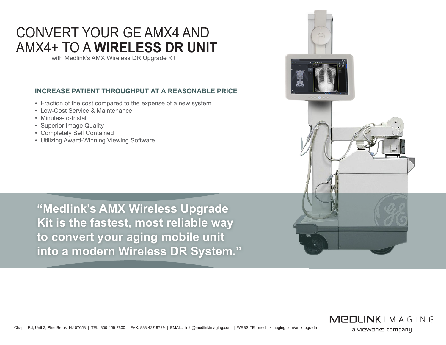# CONVERT YOUR GE AMX4 AND AMX4+ TO A **WIRELESS DR UNIT**

with Medlink's AMX Wireless DR Upgrade Kit

### **INCREASE PATIENT THROUGHPUT AT A REASONABLE PRICE**

- Fraction of the cost compared to the expense of a new system
- Low-Cost Service & Maintenance
- Minutes-to-Install
- Superior Image Quality
- Completely Self Contained
- Utilizing Award-Winning Viewing Software

**"Medlink's AMX Wireless Upgrade Kit is the fastest, most reliable way to convert your aging mobile unit into a modern Wireless DR System."**





a vieworks company